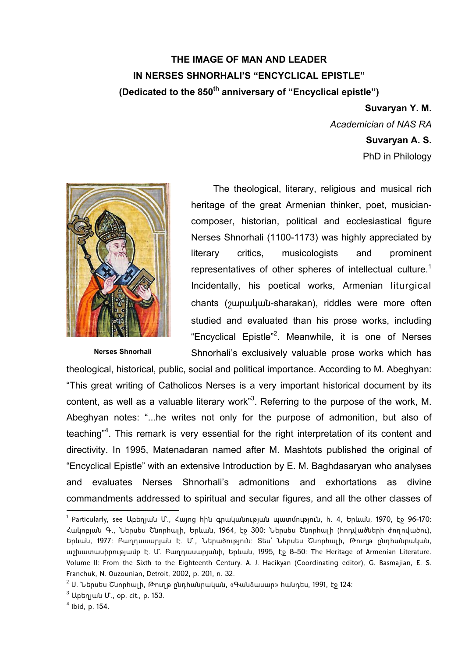## **THE IMAGE OF MAN AND LEADER IN NERSES SHNORHALI'S "ENCYCLICAL EPISTLE" (Dedicated to the 850th anniversary of "Encyclical epistle")**

**Suvaryan Y. M.**  *Academician of NAS RA*  **Suvaryan A. S.** 

PhD in Philology



**Nerses Shnorhali** 

The theological, literary, religious and musical rich heritage of the great Armenian thinker, poet, musiciancomposer, historian, political and ecclesiastical figure Nerses Shnorhali (1100-1173) was highly appreciated by literary critics, musicologists and prominent representatives of other spheres of intellectual culture.<sup>1</sup> Incidentally, his poetical works, Armenian liturgical chants (շարական-sharakan), riddles were more often studied and evaluated than his prose works, including "Encyclical Epistle"<sup>2</sup>. Meanwhile, it is one of Nerses Shnorhali's exclusively valuable prose works which has

theological, historical, public, social and political importance. According to M. Abeghyan: "This great writing of Catholicos Nerses is a very important historical document by its content, as well as a valuable literary work<sup>3</sup>. Referring to the purpose of the work, M. Abeghyan notes: "...he writes not only for the purpose of admonition, but also of teaching"<sup>4</sup>. This remark is very essential for the right interpretation of its content and directivity. In 1995, Matenadaran named after M. Mashtots published the original of "Encyclical Epistle" with an extensive Introduction by E. M. Baghdasaryan who analyses and evaluates Nerses Shnorhali's admonitions and exhortations as divine commandments addressed to spiritual and secular figures, and all the other classes of

<u>.</u>

<sup>1</sup> Particularly, see Աբեղյան Մ., Հայոց հին գրականության պատմություն, հ. 4, Երևան, 1970, էջ 96-170: Հակոբյան Գ., Ներսես Շնորհալի, Երևան, 1964, էջ 300: Ներսես Շնորհալի (հոդվածների ժողովածու), Երևան, 1977: Բաղդասարյան Է. Մ., Ներածություն: Տես` Ներսես Շնորհալի, Թուղթ ընդհանրական, աշխատասիրությամբ Է. Մ. Բաղդասարյանի, Երևան, 1995, էջ 8-50: The Heritage of Armenian Literature. Volume II: From the Sixth to the Eighteenth Century. A. J. Hacikyan (Coordinating editor), G. Basmajian, E. S. Franchuk, N. Ouzounian, Detroit, 2002, p. 201, n. 32.

<sup>&</sup>lt;sup>2</sup> Ս. Ներսես Շնորհալի, Թուղթ ընդհանրական, «Գանձասար» հանդես, 1991, էջ 124։

<sup>&</sup>lt;sup>3</sup> Աբեղյան Մ., օp. cit., p. 153.

<sup>4</sup> Ibid, p. 154.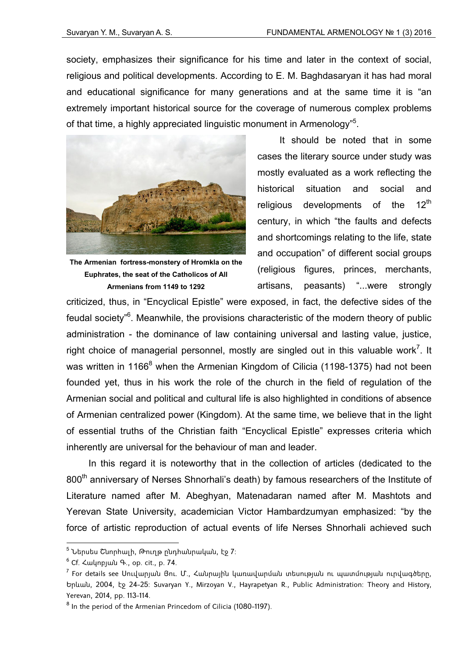society, emphasizes their significance for his time and later in the context of social. religious and political developments. According to E. M. Baghdasaryan it has had moral and educational significance for many generations and at the same time it is "an extremely important historical source for the coverage of numerous complex problems of that time, a highly appreciated linguistic monument in Armenology"<sup>5</sup>.



**The Armenian fortress-monstery of Hromkla on the Euphrates, the seat of the Catholicos of All Armenians from 1149 to 1292** 

It should be noted that in some cases the literary source under study was mostly evaluated as a work reflecting the historical situation and social and religious developments of the  $12<sup>th</sup>$ century, in which "the faults and defects and shortcomings relating to the life, state and occupation" of different social groups (religious figures, princes, merchants, artisans, peasants) "...were strongly

criticized, thus, in "Encyclical Epistle" were exposed, in fact, the defective sides of the feudal society"<sup>6</sup>. Meanwhile, the provisions characteristic of the modern theory of public administration - the dominance of law containing universal and lasting value, justice, right choice of managerial personnel, mostly are singled out in this valuable work<sup>7</sup>. It was written in 1166<sup>8</sup> when the Armenian Kingdom of Cilicia (1198-1375) had not been founded yet, thus in his work the role of the church in the field of regulation of the Armenian social and political and cultural life is also highlighted in conditions of absence of Armenian centralized power (Kingdom). At the same time, we believe that in the light of essential truths of the Christian faith "Encyclical Epistle" expresses criteria which inherently are universal for the behaviour of man and leader.

In this regard it is noteworthy that in the collection of articles (dedicated to the 800<sup>th</sup> anniversary of Nerses Shnorhali's death) by famous researchers of the Institute of Literature named after M. Abeghyan, Matenadaran named after M. Mashtots and Yerevan State University, academician Victor Hambardzumyan emphasized: "by the force of artistic reproduction of actual events of life Nerses Shnorhali achieved such

<sup>&</sup>lt;sup>5</sup> Ներսես Շնորհալի, Թուղթ ընդհանրական, էջ 7։

 $^6$  Cf. Հակոբյան Գ., օp. cit., p. 74.

 $^7$  For details see Սուվարյան Յու. Մ., Հանրային կառավարման տեսության ու պատմության ուրվագծերը, Երևան, 2004, էջ 24-25: Suvaryan Y., Mirzoyan V., Hayrapetyan R., Public Administration: Theory and History, Yerevan, 2014, pp. 113-114.

<sup>&</sup>lt;sup>8</sup> In the period of the Armenian Princedom of Cilicia (1080-1197).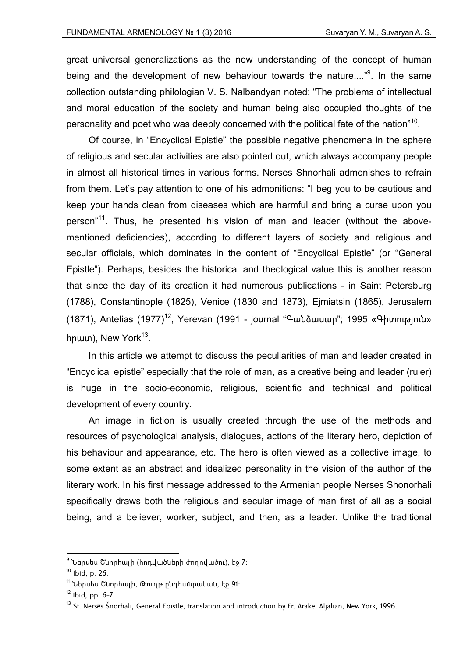great universal generalizations as the new understanding of the concept of human being and the development of new behaviour towards the nature...."<sup>9</sup>. In the same collection outstanding philologian V. S. Nalbandyan noted: "The problems of intellectual and moral education of the society and human being also occupied thoughts of the personality and poet who was deeply concerned with the political fate of the nation"<sup>10</sup>.

Of course, in "Encyclical Epistle" the possible negative phenomena in the sphere of religious and secular activities are also pointed out, which always accompany people in almost all historical times in various forms. Nerses Shnorhali admonishes to refrain from them. Let's pay attention to one of his admonitions: "I beg you to be cautious and keep your hands clean from diseases which are harmful and bring a curse upon you person<sup>"11</sup>. Thus, he presented his vision of man and leader (without the abovementioned deficiencies), according to different layers of society and religious and secular officials, which dominates in the content of "Encyclical Epistle" (or "General Epistle"). Perhaps, besides the historical and theological value this is another reason that since the day of its creation it had numerous publications - in Saint Petersburg (1788), Constantinople (1825), Venice (1830 and 1873), Ejmiatsin (1865), Jerusalem (1871), Antelias (1977)<sup>12</sup>, Yerevan (1991 - journal "Գանձասար"; 1995 **«**Գիտություն» hnwm), New York<sup>13</sup>.

In this article we attempt to discuss the peculiarities of man and leader created in "Encyclical epistle" especially that the role of man, as a creative being and leader (ruler) is huge in the socio-economic, religious, scientific and technical and political development of every country.

An image in fiction is usually created through the use of the methods and resources of psychological analysis, dialogues, actions of the literary hero, depiction of his behaviour and appearance, etc. The hero is often viewed as a collective image, to some extent as an abstract and idealized personality in the vision of the author of the literary work. In his first message addressed to the Armenian people Nerses Shonorhali specifically draws both the religious and secular image of man first of all as a social being, and a believer, worker, subject, and then, as a leader. Unlike the traditional

<sup>&</sup>lt;sup>9</sup> Ներսես Շնորհալի (հոդվածների ժողովածու), էջ 7։

<sup>10</sup> Ibid, p. 26.

<sup>11</sup> Ներսես Շնորհալի, Թուղթ ընդհանրական, էջ 91։

 $12$  Ibid, pp. 6-7.

<sup>&</sup>lt;sup>13</sup> St. Nerses Šnorhali, General Epistle, translation and introduction by Fr. Arakel Aljalian, New York, 1996.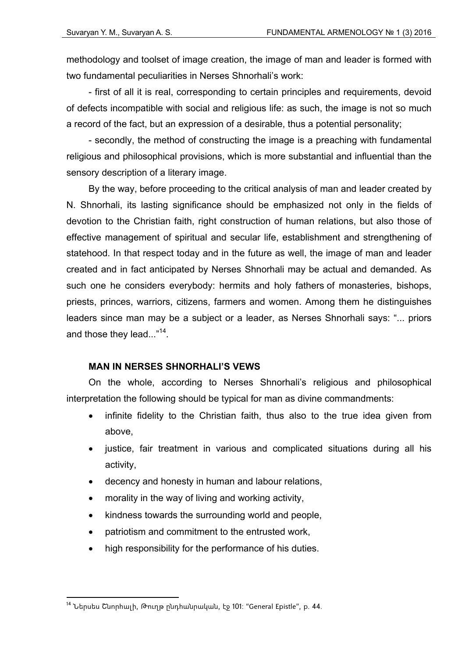methodology and toolset of image creation, the image of man and leader is formed with two fundamental peculiarities in Nerses Shnorhali's work:

- first of all it is real, corresponding to certain principles and requirements, devoid of defects incompatible with social and religious life: as such, the image is not so much a record of the fact, but an expression of a desirable, thus a potential personality;

- secondly, the method of constructing the image is а preaching with fundamental religious and philosophical provisions, which is more substantial and influential than the sensory description of a literary image.

By the way, before proceeding to the critical analysis of man and leader created by N. Shnorhali, its lasting significance should be emphasized not only in the fields of devotion to the Christian faith, right construction of human relations, but also those of effective management of spiritual and secular life, establishment and strengthening of statehood. In that respect today and in the future as well, the image of man and leader created and in fact anticipated by Nerses Shnorhali may be actual and demanded. As such one he considers everybody: hermits and holy fathers of monasteries, bishops, priests, princes, warriors, citizens, farmers and women. Among them he distinguishes leaders since man may be a subject or a leader, as Nerses Shnorhali says: "... priors and those they lead..."<sup>14</sup>.

## **MAN IN NERSES SHNORHALI'S VEWS**

On the whole, according to Nerses Shnorhali's religious and philosophical interpretation the following should be typical for man as divine commandments:

- infinite fidelity to the Christian faith, thus also to the true idea given from above,
- justice, fair treatment in various and complicated situations during all his activity,
- decency and honesty in human and labour relations,
- morality in the way of living and working activity,
- kindness towards the surrounding world and people,
- patriotism and commitment to the entrusted work,
- high responsibility for the performance of his duties.

<u>.</u>

<sup>14</sup> Ներսես Շնորհալի, Թուղթ ընդհանրական, էջ 101: "General Epistle", p. 44.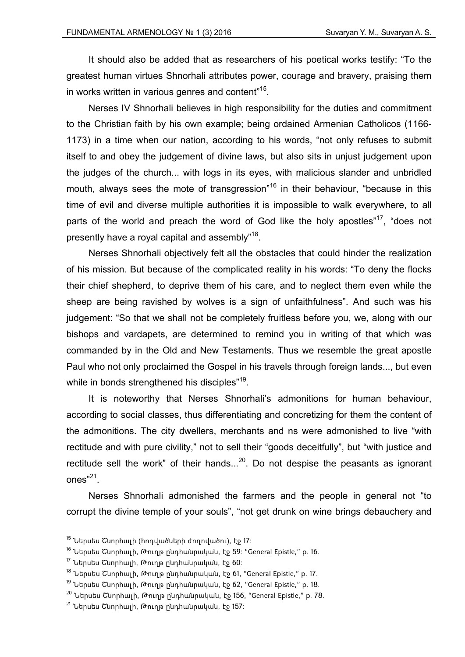It should also be added that as researchers of his poetical works testify: "To the greatest human virtues Shnorhali attributes power, courage and bravery, praising them in works written in various genres and content"15.

Nerses IV Shnorhali believes in high responsibility for the duties and commitment to the Christian faith by his own example; being ordained Armenian Catholicos (1166- 1173) in a time when our nation, according to his words, "not only refuses to submit itself to and obey the judgement of divine laws, but also sits in unjust judgement upon the judges of the church... with logs in its eyes, with malicious slander and unbridled mouth, always sees the mote of transgression<sup>"16</sup> in their behaviour, "because in this time of evil and diverse multiple authorities it is impossible to walk everywhere, to all parts of the world and preach the word of God like the holy apostles"<sup>17</sup>, "does not presently have a royal capital and assembly"<sup>18</sup>.

Nerses Shnorhali objectively felt all the obstacles that could hinder the realization of his mission. But because of the complicated reality in his words: "To deny the flocks their chief shepherd, to deprive them of his care, and to neglect them even while the sheep are being ravished by wolves is a sign of unfaithfulness". And such was his judgement: "So that we shall not be completely fruitless before you, we, along with our bishops and vardapets, are determined to remind you in writing of that which was commanded by in the Old and New Testaments. Thus we resemble the great apostle Paul who not only proclaimed the Gospel in his travels through foreign lands..., but even while in bonds strengthened his disciples"<sup>19</sup>.

It is noteworthy that Nerses Shnorhali's admonitions for human behaviour, according to social classes, thus differentiating and concretizing for them the content of the admonitions. The city dwellers, merchants and ns were admonished to live "with rectitude and with pure civility," not to sell their "goods deceitfully", but "with justice and rectitude sell the work" of their hands... $^{20}$ . Do not despise the peasants as ignorant ones"21.

Nerses Shnorhali admonished the farmers and the people in general not "to corrupt the divine temple of your souls", "not get drunk on wine brings debauchery and

 $15$  Ներսես Շնորհալի (հոդվածների ժողովածու), էջ 17։

<sup>&</sup>lt;sup>16</sup> Ներսես Շնորհալի, Թուղթ ընդհանրական, էջ 59: "General Epistle," p. 16.

 $17$  Ներսես Շնորհալի, Թուղթ ընդհանրական, էջ 60։

 $18$  Ներսես Շնորհալի, Թուղթ ընդհանրական, էջ 61, "General Epistle," p. 17.

<sup>&</sup>lt;sup>19</sup> Ներսես Շնորհալի, Թուղթ ընդհանրական, էջ 62, "General Epistle," p. 18.

<sup>&</sup>lt;sup>20</sup> Ներսես Շնորհալի, Թուղթ ընդհանրական, էջ 156, "General Epistle," p. 78.

 $21$  Ներսես Շնորհայի, Թուղթ ընդհանրական, էջ 157: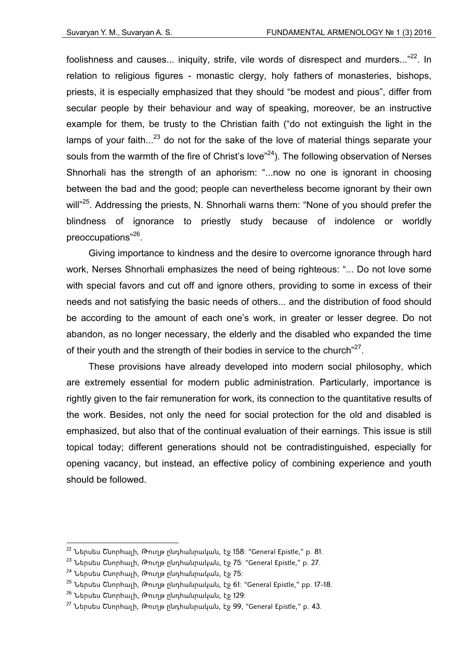foolishness and causes... iniquity, strife, vile words of disrespect and murders..."<sup>22</sup>. In relation to religious figures - monastic clergy, holy fathers of monasteries, bishops, priests, it is especially emphasized that they should "be modest and pious", differ from secular people by their behaviour and way of speaking, moreover, be an instructive example for them, be trusty to the Christian faith ("do not extinguish the light in the lamps of your faith...<sup>23</sup> do not for the sake of the love of material things separate your souls from the warmth of the fire of Christ's love<sup> $24$ </sup>). The following observation of Nerses Shnorhali has the strength of an aphorism: "...now no one is ignorant in choosing between the bad and the good; people can nevertheless become ignorant by their own will"<sup>25</sup>. Addressing the priests, N. Shnorhali warns them: "None of you should prefer the blindness of ignorance to priestly study because of indolence or worldly preoccupations"26.

Giving importance to kindness and the desire to overcome ignorance through hard work, Nerses Shnorhali emphasizes the need of being righteous: "... Do not love some with special favors and cut off and ignore others, providing to some in excess of their needs and not satisfying the basic needs of others... and the distribution of food should be according to the amount of each one's work, in greater or lesser degree. Do not abandon, as no longer necessary, the elderly and the disabled who expanded the time of their youth and the strength of their bodies in service to the church" $^{27}$ .

These provisions have already developed into modern social philosophy, which are extremely essential for modern public administration. Particularly, importance is rightly given to the fair remuneration for work, its connection to the quantitative results of the work. Besides, not only the need for social protection for the old and disabled is emphasized, but also that of the continual evaluation of their earnings. This issue is still topical today; different generations should not be contradistinguished, especially for opening vacancy, but instead, an effective policy of combining experience and youth should be followed.

 $^{22}$  Ներսես Շնորհալի, Թուղթ ընդհանրական, էջ 158: "General Epistle," p. 81.

<sup>23</sup> Ներսես Շնորհալի, Թուղթ ընդհանրական, էջ 75: "General Epistle," p. 27.

 $24$  Ներսես Շնորհալի, Թուղթ ընդհանրական, էջ 75:

<sup>&</sup>lt;sup>25</sup> Ներսես Շնորհալի, Թուղթ ընդհանրական, էջ 61: "General Epistle," pp. 17-18.

 $26$  Ներսես Շնորհալի, Թուղթ ընդհանրական, էջ 129։

<sup>&</sup>lt;sup>27</sup> Ներսես Շնորհալի, Թուղթ ընդհանրական, էջ 99, "General Epistle," p. 43.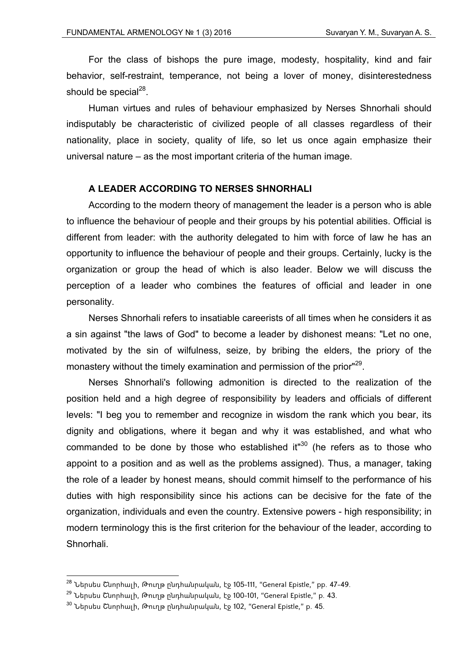For the class of bishops the pure image, modesty, hospitality, kind and fair behavior, self-restraint, temperance, not being a lover of money, disinterestedness should be special<sup>28</sup>.

Human virtues and rules of behaviour emphasized by Nerses Shnorhali should indisputably be characteristic of civilized people of all classes regardless of their nationality, place in society, quality of life, so let us once again emphasize their universal nature – as the most important criteria of the human image.

## **A LEADER ACCORDING TO NERSES SHNORHALI**

According to the modern theory of management the leader is a person who is able to influence the behaviour of people and their groups by his potential abilities. Official is different from leader: with the authority delegated to him with force of law he has an opportunity to influence the behaviour of people and their groups. Certainly, lucky is the organization or group the head of which is also leader. Below we will discuss the perception of a leader who combines the features of official and leader in one personality.

Nerses Shnorhali refers to insatiable careerists of all times when he considers it as a sin against "the laws of God" to become a leader by dishonest means: "Let no one, motivated by the sin of wilfulness, seize, by bribing the elders, the priory of the monastery without the timely examination and permission of the prior<sup>"29</sup>.

Nerses Shnorhali's following admonition is directed to the realization of the position held and a high degree of responsibility by leaders and officials of different levels: "I beg you to remember and recognize in wisdom the rank which you bear, its dignity and obligations, where it began and why it was established, and what who commanded to be done by those who established it<sup> $n30$ </sup> (he refers as to those who appoint to a position and as well as the problems assigned). Thus, a manager, taking the role of a leader by honest means, should commit himself to the performance of his duties with high responsibility since his actions can be decisive for the fate of the organization, individuals and even the country. Extensive powers - high responsibility; in modern terminology this is the first criterion for the behaviour of the leader, according to Shnorhali.

<sup>&</sup>lt;sup>28</sup> Ներսես Շնորհալի, Թուղթ ընդհանրական, էջ 105-111, "General Epistle," pp. 47-49.

<sup>&</sup>lt;sup>29</sup> Ներսես Շնորհալի, Թուղթ ընդհանրական, էջ 100-101, "General Epistle," p. 43.

 $30$  Ներսես Շնորհալի, Թուղթ ընդհանրական, էջ 102, "General Epistle," p. 45.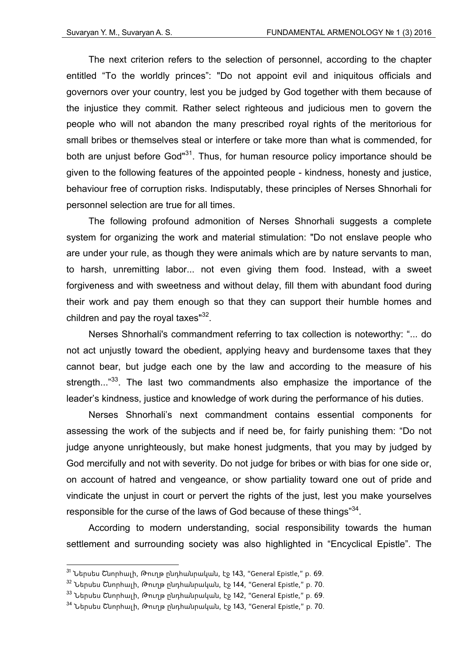The next criterion refers to the selection of personnel, according to the chapter entitled "To the worldly princes": "Do not appoint evil and iniquitous officials and governors over your country, lest you be judged by God together with them because of the injustice they commit. Rather select righteous and judicious men to govern the people who will not abandon the many prescribed royal rights of the meritorious for small bribes or themselves steal or interfere or take more than what is commended, for both are unjust before God"<sup>31</sup>. Thus, for human resource policy importance should be given to the following features of the appointed people - kindness, honesty and justice, behaviour free of corruption risks. Indisputably, these principles of Nerses Shnorhali for personnel selection are true for all times.

The following profound admonition of Nerses Shnorhali suggests a complete system for organizing the work and material stimulation: "Do not enslave people who are under your rule, as though they were animals which are by nature servants to man, to harsh, unremitting labor... not even giving them food. Instead, with a sweet forgiveness and with sweetness and without delay, fill them with abundant food during their work and pay them enough so that they can support their humble homes and children and pay the royal taxes $132$ .

Nerses Shnorhali's commandment referring to tax collection is noteworthy: "... do not act unjustly toward the obedient, applying heavy and burdensome taxes that they cannot bear, but judge each one by the law and according to the measure of his strength..."<sup>33</sup>. The last two commandments also emphasize the importance of the leader's kindness, justice and knowledge of work during the performance of his duties.

Nerses Shnorhali's next commandment contains essential components for assessing the work of the subjects and if need be, for fairly punishing them: "Do not judge anyone unrighteously, but make honest judgments, that you may by judged by God mercifully and not with severity. Do not judge for bribes or with bias for one side or, on account of hatred and vengeance, or show partiality toward one out of pride and vindicate the unjust in court or pervert the rights of the just, lest you make yourselves responsible for the curse of the laws of God because of these things<sup>334</sup>.

According to modern understanding, social responsibility towards the human settlement and surrounding society was also highlighted in "Encyclical Epistle". The

<sup>31</sup> Ներսես Շնորհալի, Թուղթ ընդհանրական, էջ 143, "General Epistle," p. 69.

<sup>32</sup> Ներսես Շնորհալի, Թուղթ ընդհանրական, էջ 144, "General Epistle," p. 70.

 $33$  Ներսես Շնորիալի, Թուղթ ընդիանրական, էջ 142, "General Epistle," p. 69.

<sup>34</sup> Ներսես Շնորհալի, Թուղթ ընդհանրական, էջ 143, "General Epistle," p. 70.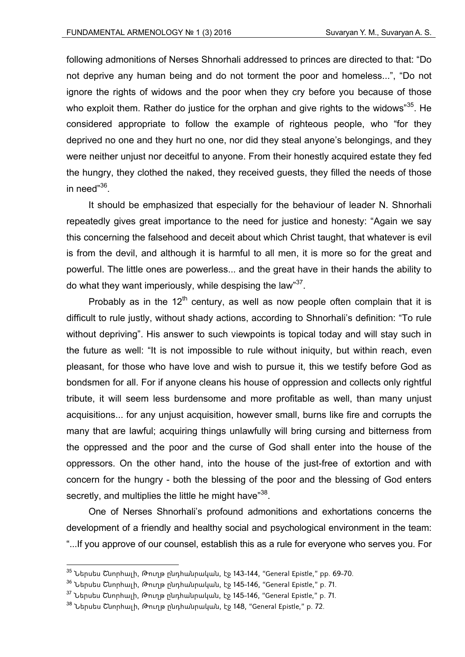following admonitions of Nerses Shnorhali addressed to princes are directed to that: "Do not deprive any human being and do not torment the poor and homeless...", "Do not ignore the rights of widows and the poor when they cry before you because of those who exploit them. Rather do justice for the orphan and give rights to the widows"<sup>35</sup>. He considered appropriate to follow the example of righteous people, who "for they deprived no one and they hurt no one, nor did they steal anyone's belongings, and they were neither unjust nor deceitful to anyone. From their honestly acquired estate they fed the hungry, they clothed the naked, they received guests, they filled the needs of those in need"36

It should be emphasized that especially for the behaviour of leader N. Shnorhali repeatedly gives great importance to the need for justice and honesty: "Again we say this concerning the falsehood and deceit about which Christ taught, that whatever is evil is from the devil, and although it is harmful to all men, it is more so for the great and powerful. The little ones are powerless... and the great have in their hands the ability to do what they want imperiously, while despising the law<sup>37</sup>.

Probably as in the  $12<sup>th</sup>$  century, as well as now people often complain that it is difficult to rule justly, without shady actions, according to Shnorhali's definition: "To rule without depriving". His answer to such viewpoints is topical today and will stay such in the future as well: "It is not impossible to rule without iniquity, but within reach, even pleasant, for those who have love and wish to pursue it, this we testify before God as bondsmen for all. For if anyone cleans his house of oppression and collects only rightful tribute, it will seem less burdensome and more profitable as well, than many unjust acquisitions... for any unjust acquisition, however small, burns like fire and corrupts the many that are lawful; acquiring things unlawfully will bring cursing and bitterness from the oppressed and the poor and the curse of God shall enter into the house of the oppressors. On the other hand, into the house of the just-free of extortion and with concern for the hungry - both the blessing of the poor and the blessing of God enters secretly, and multiplies the little he might have<sup>38</sup>.

One of Nerses Shnorhali's profound admonitions and exhortations concerns the development of a friendly and healthy social and psychological environment in the team: "...If you approve of our counsel, establish this as a rule for everyone who serves you. For

 $35$  Ներսես Շնորհալի, Թուղթ ընդհանրական, էջ 143-144, "General Epistle," pp. 69-70.

<sup>36</sup> Ներսես Շնորհալի, Թուղթ ընդհանրական, էջ 145-146, "General Epistle," p. 71.

 $37$  Ներսես Շնորհալի, Թուղթ ընդհանրական, էջ 145-146, "General Epistle," p. 71.

<sup>38</sup> Ներսես Շնորհալի, Թուղթ ընդհանրական, էջ 148, "General Epistle," p. 72.